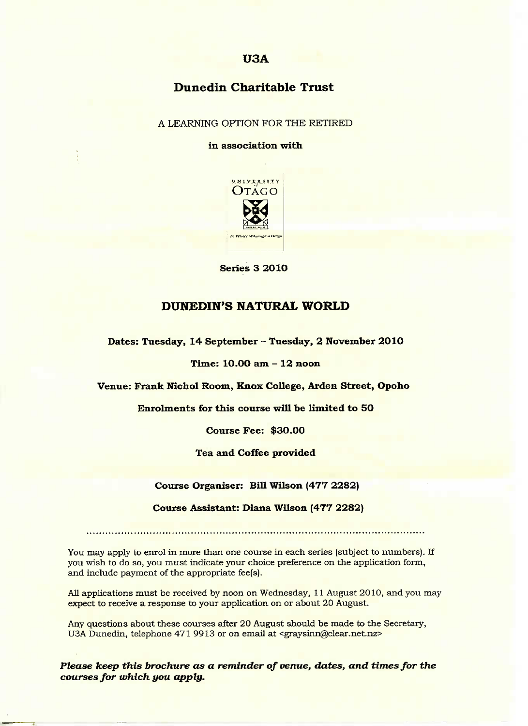# **U3A**

# **Dunedin Charitable Trust**

### A LEARNING OPTION FOR THE RETIRED

#### **in association with**



**Series 3 2010**

### **DUNEDIN'S NATURAL WORLD**

**Dates: Tuesday, 14 September - Tuesday, 2 November 2010**

#### **Time: 1O.OO am - 12 noon**

**Venue: Frank Nichol Room, Knox College, Arden Street, Opoho**

**Enrolments for this course will be limited to SO**

**Course Fee: \$30.00**

**Tea and Coffee provided**

**Course Organiser: Bill Wilson (477 2282)**

**Course Assistant: Diana Wilson (477 2282)**

You may apply to enrol in more than one course in each series (subject to numbers). If you wish to do so, you must indicate your choice preference on the application form, and include payment of the appropriate fee(s).

All applications must be received by noon on Wednesday, 11 August 2010, and you may expect to receive a response to your application on or about 20 August.

Any questions about these courses after 20 August should be made to the Secretary, U3A Dunedin, telephone 471 9913 or on email at <graysinn@clear.net.nz>

*Please keep this brochure as a reminder of venue, dates, and times for the courses for which you apply.*